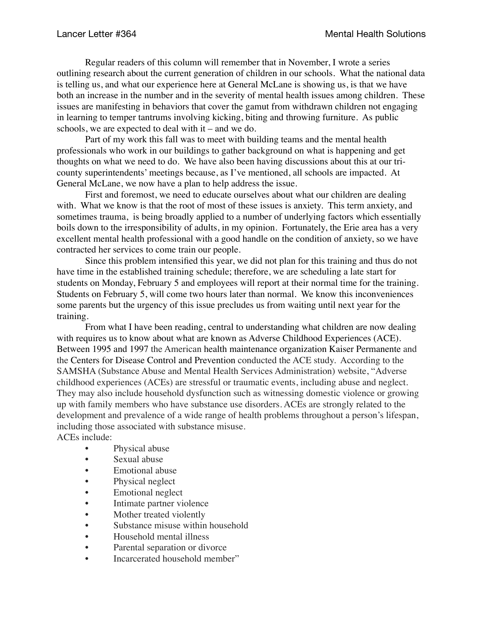Regular readers of this column will remember that in November, I wrote a series outlining research about the current generation of children in our schools. What the national data is telling us, and what our experience here at General McLane is showing us, is that we have both an increase in the number and in the severity of mental health issues among children. These issues are manifesting in behaviors that cover the gamut from withdrawn children not engaging in learning to temper tantrums involving kicking, biting and throwing furniture. As public schools, we are expected to deal with it – and we do.

Part of my work this fall was to meet with building teams and the mental health professionals who work in our buildings to gather background on what is happening and get thoughts on what we need to do. We have also been having discussions about this at our tricounty superintendents' meetings because, as I've mentioned, all schools are impacted. At General McLane, we now have a plan to help address the issue.

First and foremost, we need to educate ourselves about what our children are dealing with. What we know is that the root of most of these issues is anxiety. This term anxiety, and sometimes trauma, is being broadly applied to a number of underlying factors which essentially boils down to the irresponsibility of adults, in my opinion. Fortunately, the Erie area has a very excellent mental health professional with a good handle on the condition of anxiety, so we have contracted her services to come train our people.

Since this problem intensified this year, we did not plan for this training and thus do not have time in the established training schedule; therefore, we are scheduling a late start for students on Monday, February 5 and employees will report at their normal time for the training. Students on February 5, will come two hours later than normal. We know this inconveniences some parents but the urgency of this issue precludes us from waiting until next year for the training.

From what I have been reading, central to understanding what children are now dealing with requires us to know about what are known as Adverse Childhood Experiences (ACE). Between 1995 and 1997 the American [health maintenance organization](https://en.wikipedia.org/wiki/Health_maintenance_organization) [Kaiser Permanente](https://en.wikipedia.org/wiki/Kaiser_Permanente) and the [Centers for Disease Control and Prevention](https://en.wikipedia.org/wiki/Centers_for_Disease_Control_and_Prevention) conducted the ACE study. According to the SAMSHA (Substance Abuse and Mental Health Services Administration) website, "Adverse childhood experiences (ACEs) are stressful or traumatic events, including abuse and neglect. They may also include household dysfunction such as witnessing domestic violence or growing up with family members who have substance use disorders. ACEs are strongly related to the development and prevalence of a wide range of health problems throughout a person's lifespan, including those associated with substance misuse. ACEs include:

- Physical abuse
- Sexual abuse
- Emotional abuse
- Physical neglect
- Emotional neglect
- Intimate partner violence
- Mother treated violently
- Substance misuse within household
- Household mental illness
- Parental separation or divorce
- Incarcerated household member"